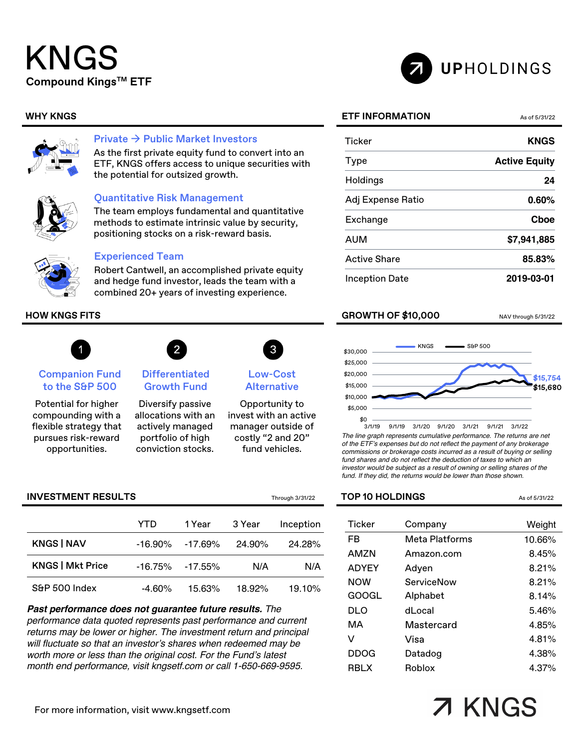# KNGS **Compound KingsTM ETF**





### Private  $\rightarrow$  Public Market Investors

As the first private equity fund to convert into an ETF, KNGS offers access to unique securities with the potential for outsized growth.



### Quantitative Risk Management

The team employs fundamental and quantitative methods to estimate intrinsic value by security, positioning stocks on a risk-reward basis.



### Experienced Team

Robert Cantwell, an accomplished private equity and hedge fund investor, leads the team with a combined 20+ years of investing experience.



### Companion Fund to the S&P 500

Potential for higher compounding with a flexible strategy that pursues risk-reward opportunities.



Diversify passive allocations with an actively managed portfolio of high

conviction stocks.



```
Low-Cost 
Alternative
```
Opportunity to invest with an active manager outside of costly "2 and 20" fund vehicles.

|                         | YTD       | 1 Year  | 3 Year | Inception |
|-------------------------|-----------|---------|--------|-----------|
| <b>KNGS   NAV</b>       | -16.90%   | -17.69% | 24.90% | 24.28%    |
| <b>KNGS   Mkt Price</b> | -16.75%   | -17.55% | N/A    | N/A       |
| S&P 500 Index           | $-4.60\%$ | 15.63%  | 18.92% | 19.10%    |

*Past performance does not guarantee future results. The performance data quoted represents past performance and current returns may be lower or higher. The investment return and principal will fluctuate so that an investor's shares when redeemed may be worth more or less than the original cost. For the Fund's latest month end performance, visit kngsetf.com or call 1-650-669-9595.*

UPHOLDINGS

| <b>Ticker</b>     | <b>KNGS</b>          |
|-------------------|----------------------|
| Type              | <b>Active Equity</b> |
| Holdings          | 24                   |
| Adj Expense Ratio | $0.60\%$             |
| Exchange          | Choe                 |
| AUM               | \$7,941,885          |
| Active Share      | 85.83%               |
| Inception Date    | 2019-03-01           |

### **HOW KNGS FITS** NAV through 5/31/22



*The line graph represents cumulative performance. The returns are net of the ETF's expenses but do not reflect the payment of any brokerage commissions or brokerage costs incurred as a result of buying or selling fund shares and do not reflect the deduction of taxes to which an investor would be subject as a result of owning or selling shares of the fund. If they did, the returns would be lower than those shown.*

### **INVESTMENT RESULTS** Through 3/31/22 **TOP 10 HOLDINGS** As of 5/31/22

| <b>Ticker</b> | Company        | Weight |
|---------------|----------------|--------|
| FR            | Meta Platforms | 10.66% |
| AMZN          | Amazon.com     | 8.45%  |
| <b>ADYEY</b>  | Adven          | 8.21%  |
| <b>NOW</b>    | ServiceNow     | 8.21%  |
| GOOGL         | Alphabet       | 8.14%  |
| DLO           | dLocal         | 5.46%  |
| MА            | Mastercard     | 4.85%  |
| v             | Visa           | 4.81%  |
| DDOG          | Datadog        | 4.38%  |
| <b>RBLX</b>   | <b>Roblox</b>  | 4.37%  |